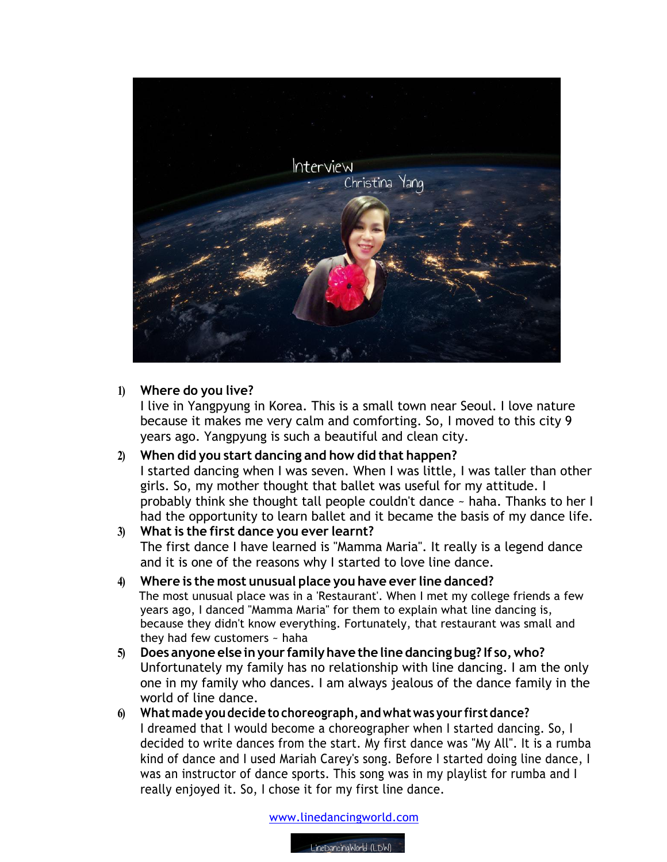

## **1) Where do you live?**

I live in Yangpyung in Korea. This is a small town near Seoul. I love nature because it makes me very calm and comforting. So, I moved to this city 9 years ago. Yangpyung is such a beautiful and clean city.

**2) When did you start dancing and how did that happen?** I started dancing when I was seven. When I was little, I was taller than other girls. So, my mother thought that ballet was useful for my attitude. I probably think she thought tall people couldn't dance ~ haha. Thanks to her I had the opportunity to learn ballet and it became the basis of my dance life.

## **3) What is the first dance you ever learnt?** The first dance I have learned is "Mamma Maria". It really is a legend dance and it is one of the reasons why I started to love line dance.

## **4) Where is the most unusual place you have ever line danced?**

 The most unusual place was in a 'Restaurant'. When I met my college friends a few years ago, I danced "Mamma Maria" for them to explain what line dancing is, because they didn't know everything. Fortunately, that restaurant was small and they had few customers ~ haha

- **5) Does anyone else inyour familyhave the line dancing bug? If so,who?** Unfortunately my family has no relationship with line dancing. I am the only one in my family who dances. I am always jealous of the dance family in the world of line dance.
- **6) Whatmade you decide to choreograph, andwhatwas your firstdance?**  I dreamed that I would become a choreographer when I started dancing. So, I decided to write dances from the start. My first dance was "My All". It is a rumba kind of dance and I used Mariah Carey's song. Before I started doing line dance, I was an instructor of dance sports. This song was in my playlist for rumba and I really enjoyed it. So, I chose it for my first line dance.

www.linedancingworld.com